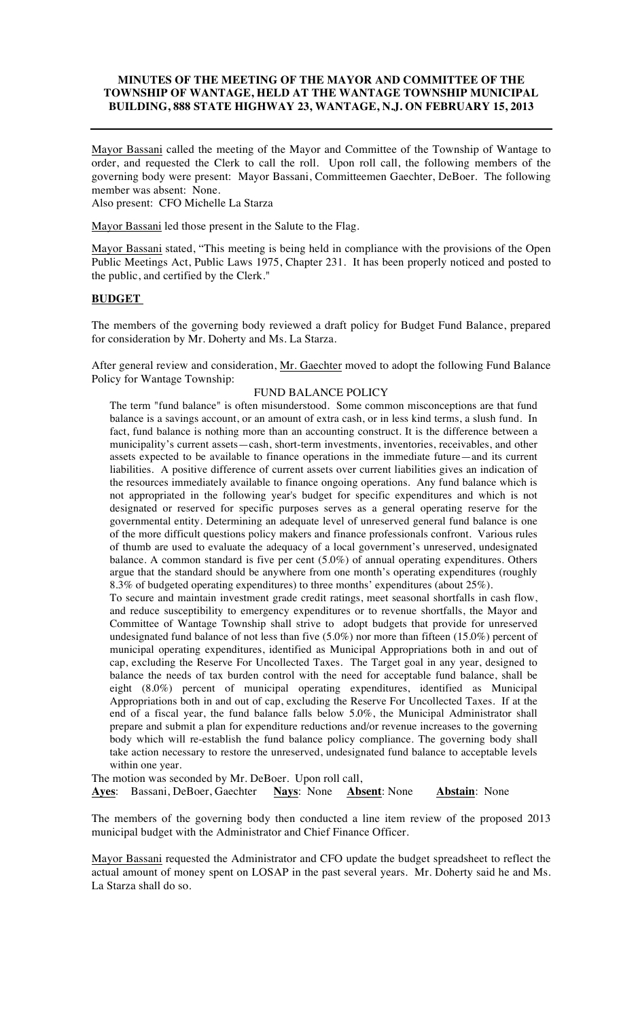## **MINUTES OF THE MEETING OF THE MAYOR AND COMMITTEE OF THE TOWNSHIP OF WANTAGE, HELD AT THE WANTAGE TOWNSHIP MUNICIPAL BUILDING, 888 STATE HIGHWAY 23, WANTAGE, N.J. ON FEBRUARY 15, 2013**

Mayor Bassani called the meeting of the Mayor and Committee of the Township of Wantage to order, and requested the Clerk to call the roll. Upon roll call, the following members of the governing body were present: Mayor Bassani, Committeemen Gaechter, DeBoer. The following member was absent: None.

Also present: CFO Michelle La Starza

Mayor Bassani led those present in the Salute to the Flag.

Mayor Bassani stated, "This meeting is being held in compliance with the provisions of the Open Public Meetings Act, Public Laws 1975, Chapter 231. It has been properly noticed and posted to the public, and certified by the Clerk."

### **BUDGET**

The members of the governing body reviewed a draft policy for Budget Fund Balance, prepared for consideration by Mr. Doherty and Ms. La Starza.

After general review and consideration, Mr. Gaechter moved to adopt the following Fund Balance Policy for Wantage Township:

#### FUND BALANCE POLICY

The term "fund balance" is often misunderstood. Some common misconceptions are that fund balance is a savings account, or an amount of extra cash, or in less kind terms, a slush fund. In fact, fund balance is nothing more than an accounting construct. It is the difference between a municipality's current assets—cash, short-term investments, inventories, receivables, and other assets expected to be available to finance operations in the immediate future—and its current liabilities. A positive difference of current assets over current liabilities gives an indication of the resources immediately available to finance ongoing operations. Any fund balance which is not appropriated in the following year's budget for specific expenditures and which is not designated or reserved for specific purposes serves as a general operating reserve for the governmental entity. Determining an adequate level of unreserved general fund balance is one of the more difficult questions policy makers and finance professionals confront. Various rules of thumb are used to evaluate the adequacy of a local government's unreserved, undesignated balance. A common standard is five per cent (5.0%) of annual operating expenditures. Others argue that the standard should be anywhere from one month's operating expenditures (roughly 8.3% of budgeted operating expenditures) to three months' expenditures (about 25%).

To secure and maintain investment grade credit ratings, meet seasonal shortfalls in cash flow, and reduce susceptibility to emergency expenditures or to revenue shortfalls, the Mayor and Committee of Wantage Township shall strive to adopt budgets that provide for unreserved undesignated fund balance of not less than five (5.0%) nor more than fifteen (15.0%) percent of municipal operating expenditures, identified as Municipal Appropriations both in and out of cap, excluding the Reserve For Uncollected Taxes. The Target goal in any year, designed to balance the needs of tax burden control with the need for acceptable fund balance, shall be eight (8.0%) percent of municipal operating expenditures, identified as Municipal Appropriations both in and out of cap, excluding the Reserve For Uncollected Taxes. If at the end of a fiscal year, the fund balance falls below 5.0%, the Municipal Administrator shall prepare and submit a plan for expenditure reductions and/or revenue increases to the governing body which will re-establish the fund balance policy compliance. The governing body shall take action necessary to restore the unreserved, undesignated fund balance to acceptable levels within one year.

The motion was seconded by Mr. DeBoer. Upon roll call, **Ayes**: Bassani, DeBoer, Gaechter **Nays**: None **Absent**: None **Abstain**: None

The members of the governing body then conducted a line item review of the proposed 2013 municipal budget with the Administrator and Chief Finance Officer.

Mayor Bassani requested the Administrator and CFO update the budget spreadsheet to reflect the actual amount of money spent on LOSAP in the past several years. Mr. Doherty said he and Ms. La Starza shall do so.